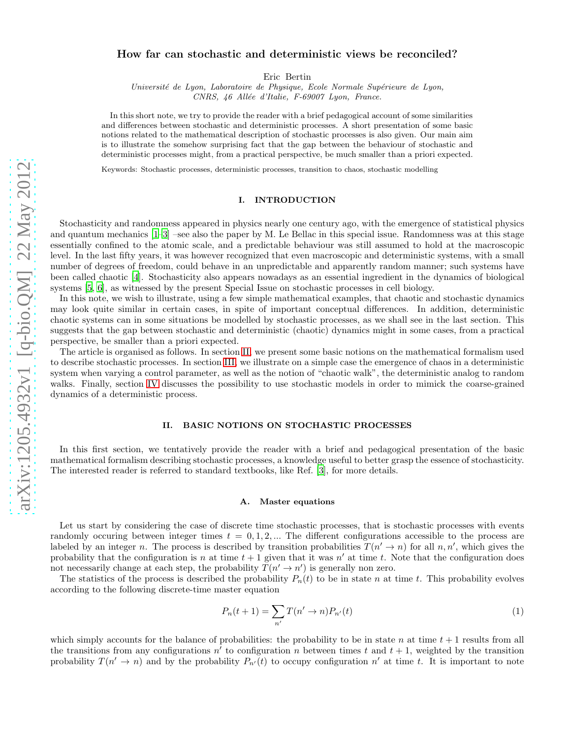## How far can stochastic and deterministic views be reconciled?

Eric Bertin

Université de Lyon, Laboratoire de Physique, Ecole Normale Supérieure de Lyon, CNRS, 46 Allée d'Italie, F-69007 Lyon, France.

In this short note, we try to provide the reader with a brief pedagogical account of some similarities and differences between stochastic and deterministic processes. A short presentation of some basic notions related to the mathematical description of stochastic processes is also given. Our main aim is to illustrate the somehow surprising fact that the gap between the behaviour of stochastic and deterministic processes might, from a practical perspective, be much smaller than a priori expected.

Keywords: Stochastic processes, deterministic processes, transition to chaos, stochastic modelling

# I. INTRODUCTION

Stochasticity and randomness appeared in physics nearly one century ago, with the emergence of statistical physics and quantum mechanics [\[1](#page-7-0)[–3\]](#page-7-1) –see also the paper by M. Le Bellac in this special issue. Randomness was at this stage essentially confined to the atomic scale, and a predictable behaviour was still assumed to hold at the macroscopic level. In the last fifty years, it was however recognized that even macroscopic and deterministic systems, with a small number of degrees of freedom, could behave in an unpredictable and apparently random manner; such systems have been called chaotic [\[4\]](#page-7-2). Stochasticity also appears nowadays as an essential ingredient in the dynamics of biological systems [\[5,](#page-7-3) [6\]](#page-7-4), as witnessed by the present Special Issue on stochastic processes in cell biology.

In this note, we wish to illustrate, using a few simple mathematical examples, that chaotic and stochastic dynamics may look quite similar in certain cases, in spite of important conceptual differences. In addition, deterministic chaotic systems can in some situations be modelled by stochastic processes, as we shall see in the last section. This suggests that the gap between stochastic and deterministic (chaotic) dynamics might in some cases, from a practical perspective, be smaller than a priori expected.

The article is organised as follows. In section [II,](#page-0-0) we present some basic notions on the mathematical formalism used to describe stochastic processes. In section [III,](#page-4-0) we illustrate on a simple case the emergence of chaos in a deterministic system when varying a control parameter, as well as the notion of "chaotic walk", the deterministic analog to random walks. Finally, section [IV](#page-6-0) discusses the possibility to use stochastic models in order to mimick the coarse-grained dynamics of a deterministic process.

### <span id="page-0-0"></span>II. BASIC NOTIONS ON STOCHASTIC PROCESSES

In this first section, we tentatively provide the reader with a brief and pedagogical presentation of the basic mathematical formalism describing stochastic processes, a knowledge useful to better grasp the essence of stochasticity. The interested reader is referred to standard textbooks, like Ref. [\[3](#page-7-1)], for more details.

### A. Master equations

Let us start by considering the case of discrete time stochastic processes, that is stochastic processes with events randomly occuring between integer times  $t = 0, 1, 2, \dots$  The different configurations accessible to the process are labeled by an integer n. The process is described by transition probabilities  $T(n' \to n)$  for all n, n', which gives the probability that the configuration is n at time  $t + 1$  given that it was n' at time t. Note that the configuration does not necessarily change at each step, the probability  $T(n' \rightarrow n')$  is generally non zero.

The statistics of the process is described the probability  $P_n(t)$  to be in state n at time t. This probability evolves according to the following discrete-time master equation

<span id="page-0-1"></span>
$$
P_n(t+1) = \sum_{n'} T(n' \to n) P_{n'}(t)
$$
\n(1)

which simply accounts for the balance of probabilities: the probability to be in state n at time  $t + 1$  results from all the transitions from any configurations  $n'$  to configuration n between times t and  $t + 1$ , weighted by the transition probability  $T(n' \to n)$  and by the probability  $P_{n'}(t)$  to occupy configuration n' at time t. It is important to note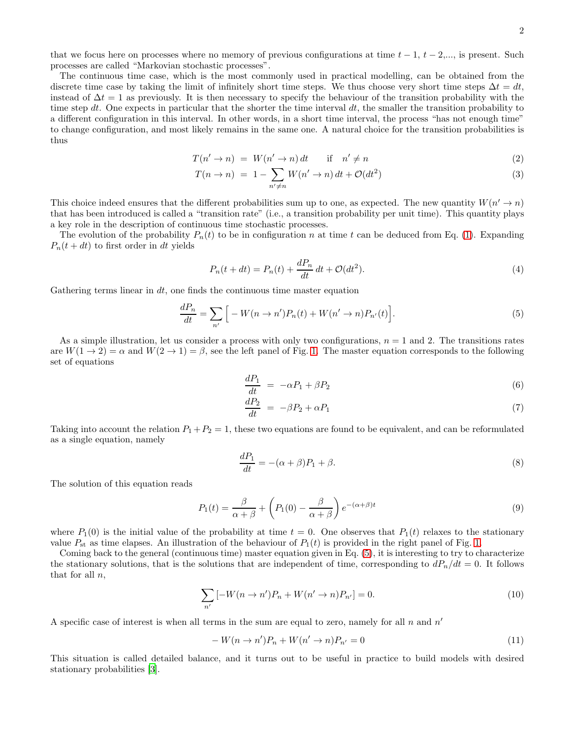that we focus here on processes where no memory of previous configurations at time  $t - 1$ ,  $t - 2, \ldots$ , is present. Such processes are called "Markovian stochastic processes".

The continuous time case, which is the most commonly used in practical modelling, can be obtained from the discrete time case by taking the limit of infinitely short time steps. We thus choose very short time steps  $\Delta t = dt$ , instead of  $\Delta t = 1$  as previously. It is then necessary to specify the behaviour of the transition probability with the time step dt. One expects in particular that the shorter the time interval  $dt$ , the smaller the transition probability to a different configuration in this interval. In other words, in a short time interval, the process "has not enough time" to change configuration, and most likely remains in the same one. A natural choice for the transition probabilities is thus

$$
T(n' \to n) = W(n' \to n) dt \quad \text{if} \quad n' \neq n \tag{2}
$$

$$
T(n \to n) = 1 - \sum_{n' \neq n} W(n' \to n) dt + \mathcal{O}(dt^2)
$$
\n
$$
(3)
$$

This choice indeed ensures that the different probabilities sum up to one, as expected. The new quantity  $W(n' \to n)$ that has been introduced is called a "transition rate" (i.e., a transition probability per unit time). This quantity plays a key role in the description of continuous time stochastic processes.

The evolution of the probability  $P_n(t)$  to be in configuration n at time t can be deduced from Eq. [\(1\)](#page-0-1). Expanding  $P_n(t + dt)$  to first order in dt yields

$$
P_n(t+dt) = P_n(t) + \frac{dP_n}{dt} dt + \mathcal{O}(dt^2).
$$
\n<sup>(4)</sup>

Gathering terms linear in  $dt$ , one finds the continuous time master equation

<span id="page-1-0"></span>
$$
\frac{dP_n}{dt} = \sum_{n'} \Big[ -W(n \to n')P_n(t) + W(n' \to n)P_{n'}(t) \Big].\tag{5}
$$

As a simple illustration, let us consider a process with only two configurations,  $n = 1$  and 2. The transitions rates are  $W(1 \rightarrow 2) = \alpha$  and  $W(2 \rightarrow 1) = \beta$ , see the left panel of Fig. [1.](#page-2-0) The master equation corresponds to the following set of equations

$$
\frac{dP_1}{dt} = -\alpha P_1 + \beta P_2 \tag{6}
$$

$$
\frac{dP_2}{dt} = -\beta P_2 + \alpha P_1 \tag{7}
$$

Taking into account the relation  $P_1 + P_2 = 1$ , these two equations are found to be equivalent, and can be reformulated as a single equation, namely

$$
\frac{dP_1}{dt} = -(\alpha + \beta)P_1 + \beta. \tag{8}
$$

The solution of this equation reads

$$
P_1(t) = \frac{\beta}{\alpha + \beta} + \left(P_1(0) - \frac{\beta}{\alpha + \beta}\right) e^{-(\alpha + \beta)t}
$$
\n(9)

where  $P_1(0)$  is the initial value of the probability at time  $t = 0$ . One observes that  $P_1(t)$  relaxes to the stationary value  $P_{st}$  as time elapses. An illustration of the behaviour of  $P_1(t)$  is provided in the right panel of Fig. [1.](#page-2-0)

Coming back to the general (continuous time) master equation given in Eq. [\(5\)](#page-1-0), it is interesting to try to characterize the stationary solutions, that is the solutions that are independent of time, corresponding to  $dP_n/dt = 0$ . It follows that for all  $n$ ,

$$
\sum_{n'} \left[ -W(n \to n')P_n + W(n' \to n)P_{n'} \right] = 0. \tag{10}
$$

A specific case of interest is when all terms in the sum are equal to zero, namely for all  $n$  and  $n'$ 

$$
-W(n \to n')P_n + W(n' \to n)P_{n'} = 0
$$
\n<sup>(11)</sup>

This situation is called detailed balance, and it turns out to be useful in practice to build models with desired stationary probabilities [\[3](#page-7-1)].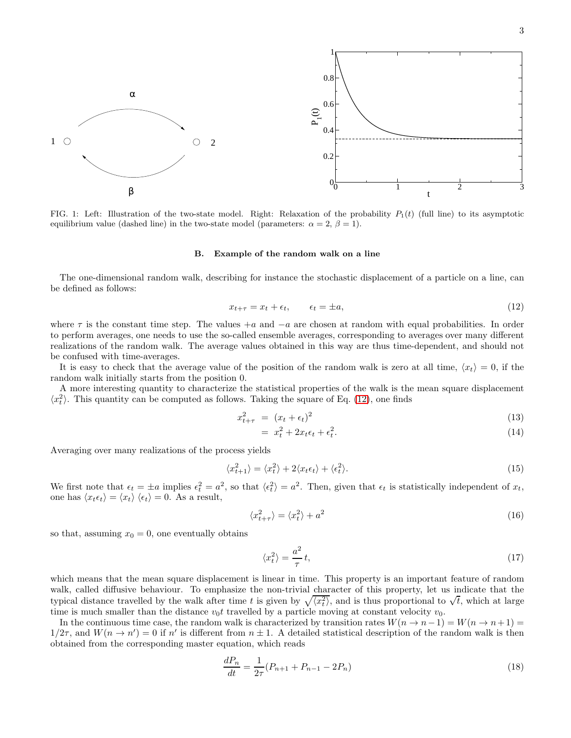

<span id="page-2-0"></span>FIG. 1: Left: Illustration of the two-state model. Right: Relaxation of the probability  $P_1(t)$  (full line) to its asymptotic equilibrium value (dashed line) in the two-state model (parameters:  $\alpha = 2$ ,  $\beta = 1$ ).

#### B. Example of the random walk on a line

The one-dimensional random walk, describing for instance the stochastic displacement of a particle on a line, can be defined as follows:

<span id="page-2-1"></span>
$$
x_{t+\tau} = x_t + \epsilon_t, \qquad \epsilon_t = \pm a,\tag{12}
$$

where  $\tau$  is the constant time step. The values  $+a$  and  $-a$  are chosen at random with equal probabilities. In order to perform averages, one needs to use the so-called ensemble averages, corresponding to averages over many different realizations of the random walk. The average values obtained in this way are thus time-dependent, and should not be confused with time-averages.

It is easy to check that the average value of the position of the random walk is zero at all time,  $\langle x_t \rangle = 0$ , if the random walk initially starts from the position 0.

A more interesting quantity to characterize the statistical properties of the walk is the mean square displacement  $\langle x_t^2 \rangle$ . This quantity can be computed as follows. Taking the square of Eq. [\(12\)](#page-2-1), one finds

$$
x_{t+\tau}^2 = (x_t + \epsilon_t)^2 \tag{13}
$$

$$
= x_t^2 + 2x_t \epsilon_t + \epsilon_t^2. \tag{14}
$$

Averaging over many realizations of the process yields

$$
\langle x_{t+1}^2 \rangle = \langle x_t^2 \rangle + 2 \langle x_t \epsilon_t \rangle + \langle \epsilon_t^2 \rangle. \tag{15}
$$

We first note that  $\epsilon_t = \pm a$  implies  $\epsilon_t^2 = a^2$ , so that  $\langle \epsilon_t^2 \rangle = a^2$ . Then, given that  $\epsilon_t$  is statistically independent of  $x_t$ , one has  $\langle x_t \epsilon_t \rangle = \langle x_t \rangle \langle \epsilon_t \rangle = 0$ . As a result,

$$
\langle x_{t+\tau}^2 \rangle = \langle x_t^2 \rangle + a^2 \tag{16}
$$

so that, assuming  $x_0 = 0$ , one eventually obtains

$$
\langle x_t^2 \rangle = \frac{a^2}{\tau} t,\tag{17}
$$

which means that the mean square displacement is linear in time. This property is an important feature of random walk, called diffusive behaviour. To emphasize the non-trivial character of this property, let us indicate that the typical distance travelled by the walk after time t is given by  $\sqrt{\langle x_t^2 \rangle}$ , and is thus proportional to  $\sqrt{t}$ , which at large time is much smaller than the distance  $v_0t$  travelled by a particle moving at constant velocity  $v_0$ .

In the continuous time case, the random walk is characterized by transition rates  $W(n \to n-1) = W(n \to n+1)$  $1/2\tau$ , and  $W(n \to n') = 0$  if n' is different from  $n \pm 1$ . A detailed statistical description of the random walk is then obtained from the corresponding master equation, which reads

$$
\frac{dP_n}{dt} = \frac{1}{2\tau}(P_{n+1} + P_{n-1} - 2P_n) \tag{18}
$$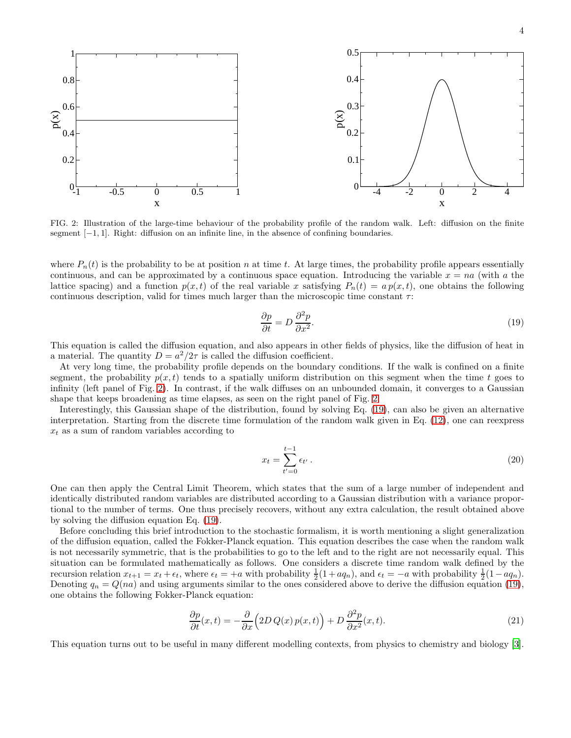

<span id="page-3-0"></span>FIG. 2: Illustration of the large-time behaviour of the probability profile of the random walk. Left: diffusion on the finite segment [−1, 1]. Right: diffusion on an infinite line, in the absence of confining boundaries.

where  $P_n(t)$  is the probability to be at position n at time t. At large times, the probability profile appears essentially continuous, and can be approximated by a continuous space equation. Introducing the variable  $x = na$  (with a the lattice spacing) and a function  $p(x, t)$  of the real variable x satisfying  $P_n(t) = a p(x, t)$ , one obtains the following continuous description, valid for times much larger than the microscopic time constant  $\tau$ :

<span id="page-3-1"></span>
$$
\frac{\partial p}{\partial t} = D \frac{\partial^2 p}{\partial x^2}.\tag{19}
$$

This equation is called the diffusion equation, and also appears in other fields of physics, like the diffusion of heat in a material. The quantity  $D = a^2/2\tau$  is called the diffusion coefficient.

At very long time, the probability profile depends on the boundary conditions. If the walk is confined on a finite segment, the probability  $p(x, t)$  tends to a spatially uniform distribution on this segment when the time t goes to infinity (left panel of Fig. [2\)](#page-3-0). In contrast, if the walk diffuses on an unbounded domain, it converges to a Gaussian shape that keeps broadening as time elapses, as seen on the right panel of Fig. [2.](#page-3-0)

Interestingly, this Gaussian shape of the distribution, found by solving Eq. [\(19\)](#page-3-1), can also be given an alternative interpretation. Starting from the discrete time formulation of the random walk given in Eq. [\(12\)](#page-2-1), one can reexpress  $x_t$  as a sum of random variables according to

$$
x_t = \sum_{t'=0}^{t-1} \epsilon_{t'} \,. \tag{20}
$$

One can then apply the Central Limit Theorem, which states that the sum of a large number of independent and identically distributed random variables are distributed according to a Gaussian distribution with a variance proportional to the number of terms. One thus precisely recovers, without any extra calculation, the result obtained above by solving the diffusion equation Eq. [\(19\)](#page-3-1).

Before concluding this brief introduction to the stochastic formalism, it is worth mentioning a slight generalization of the diffusion equation, called the Fokker-Planck equation. This equation describes the case when the random walk is not necessarily symmetric, that is the probabilities to go to the left and to the right are not necessarily equal. This situation can be formulated mathematically as follows. One considers a discrete time random walk defined by the recursion relation  $x_{t+1} = x_t + \epsilon_t$ , where  $\epsilon_t = +a$  with probability  $\frac{1}{2}(1 + aq_n)$ , and  $\epsilon_t = -a$  with probability  $\frac{1}{2}(1 - aq_n)$ . Denoting  $q_n = Q(na)$  and using arguments similar to the ones considered above to derive the diffusion equation [\(19\)](#page-3-1), one obtains the following Fokker-Planck equation:

$$
\frac{\partial p}{\partial t}(x,t) = -\frac{\partial}{\partial x}\Big(2D\,Q(x)\,p(x,t)\Big) + D\,\frac{\partial^2 p}{\partial x^2}(x,t). \tag{21}
$$

This equation turns out to be useful in many different modelling contexts, from physics to chemistry and biology [\[3\]](#page-7-1).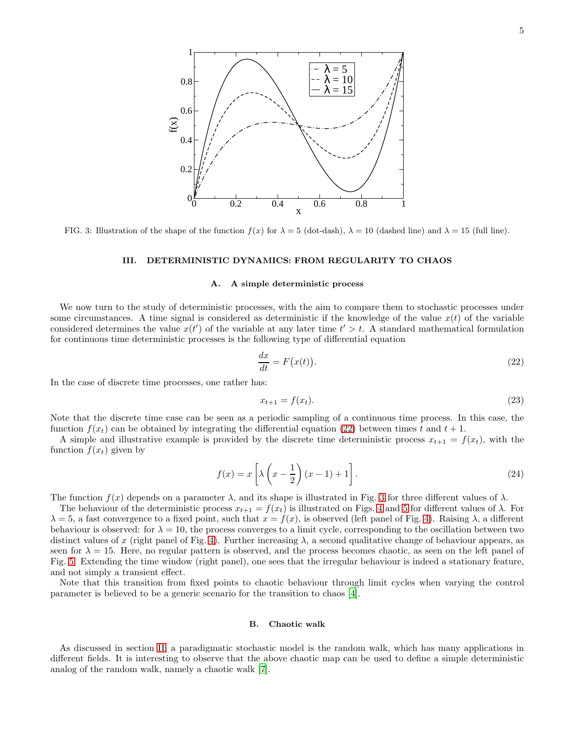

<span id="page-4-2"></span>FIG. 3: Illustration of the shape of the function  $f(x)$  for  $\lambda = 5$  (dot-dash),  $\lambda = 10$  (dashed line) and  $\lambda = 15$  (full line).

#### <span id="page-4-0"></span>III. DETERMINISTIC DYNAMICS: FROM REGULARITY TO CHAOS

#### <span id="page-4-4"></span>A. A simple deterministic process

We now turn to the study of deterministic processes, with the aim to compare them to stochastic processes under some circumstances. A time signal is considered as deterministic if the knowledge of the value  $x(t)$  of the variable considered determines the value  $x(t')$  of the variable at any later time  $t' > t$ . A standard mathematical formulation for continuous time deterministic processes is the following type of differential equation

<span id="page-4-1"></span>
$$
\frac{dx}{dt} = F(x(t)).\tag{22}
$$

In the case of discrete time processes, one rather has:

$$
x_{t+1} = f(x_t). \tag{23}
$$

Note that the discrete time case can be seen as a periodic sampling of a continuous time process. In this case, the function  $f(x_t)$  can be obtained by integrating the differential equation [\(22\)](#page-4-1) between times t and  $t + 1$ .

A simple and illustrative example is provided by the discrete time deterministic process  $x_{t+1} = f(x_t)$ , with the function  $f(x_t)$  given by

<span id="page-4-3"></span>
$$
f(x) = x \left[ \lambda \left( x - \frac{1}{2} \right) (x - 1) + 1 \right].
$$
 (24)

The function  $f(x)$  depends on a parameter  $\lambda$ , and its shape is illustrated in Fig. [3](#page-4-2) for three different values of  $\lambda$ .

The behaviour of the deterministic process  $x_{t+1} = f(x_t)$  is illustrated on Figs. [4](#page-5-0) and [5](#page-5-1) for different values of  $\lambda$ . For  $\lambda = 5$ , a fast convergence to a fixed point, such that  $x = f(x)$ , is observed (left panel of Fig. [4\)](#page-5-0). Raising  $\lambda$ , a different behaviour is observed: for  $\lambda = 10$ , the process converges to a limit cycle, corresponding to the oscillation between two distinct values of x (right panel of Fig. [4\)](#page-5-0). Further increasing  $\lambda$ , a second qualitative change of behaviour appears, as seen for  $\lambda = 15$ . Here, no regular pattern is observed, and the process becomes chaotic, as seen on the left panel of Fig. [5.](#page-5-1) Extending the time window (right panel), one sees that the irregular behaviour is indeed a stationary feature, and not simply a transient effect.

Note that this transition from fixed points to chaotic behaviour through limit cycles when varying the control parameter is believed to be a generic scenario for the transition to chaos [\[4](#page-7-2)].

#### B. Chaotic walk

As discussed in section [II,](#page-0-0) a paradigmatic stochastic model is the random walk, which has many applications in different fields. It is interesting to observe that the above chaotic map can be used to define a simple deterministic analog of the random walk, namely a chaotic walk [\[7\]](#page-7-5).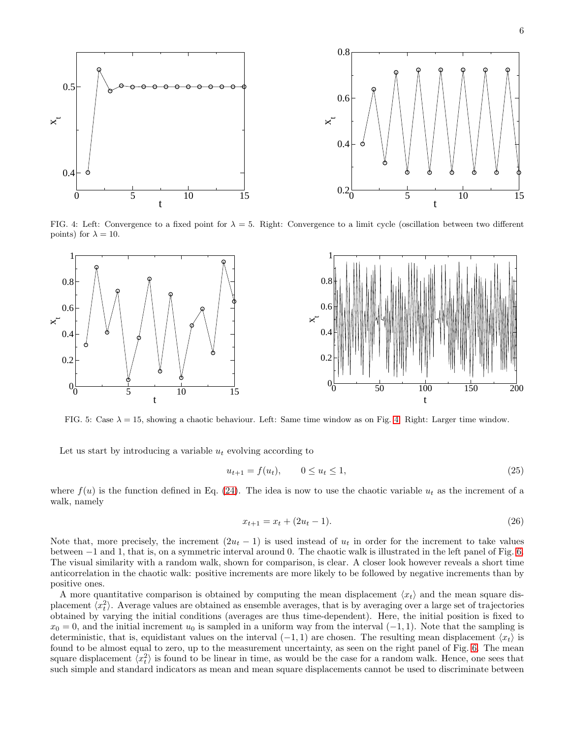6



<span id="page-5-0"></span>FIG. 4: Left: Convergence to a fixed point for  $\lambda = 5$ . Right: Convergence to a limit cycle (oscillation between two different points) for  $\lambda = 10$ .



<span id="page-5-1"></span>FIG. 5: Case  $\lambda = 15$ , showing a chaotic behaviour. Left: Same time window as on Fig. [4.](#page-5-0) Right: Larger time window.

Let us start by introducing a variable  $u_t$  evolving according to

$$
u_{t+1} = f(u_t), \qquad 0 \le u_t \le 1,\tag{25}
$$

where  $f(u)$  is the function defined in Eq. [\(24\)](#page-4-3). The idea is now to use the chaotic variable  $u_t$  as the increment of a walk, namely

$$
x_{t+1} = x_t + (2u_t - 1). \tag{26}
$$

Note that, more precisely, the increment  $(2u_t - 1)$  is used instead of  $u_t$  in order for the increment to take values between −1 and 1, that is, on a symmetric interval around 0. The chaotic walk is illustrated in the left panel of Fig. [6.](#page-6-1) The visual similarity with a random walk, shown for comparison, is clear. A closer look however reveals a short time anticorrelation in the chaotic walk: positive increments are more likely to be followed by negative increments than by positive ones.

A more quantitative comparison is obtained by computing the mean displacement  $\langle x_t \rangle$  and the mean square displacement  $\langle x_t^2 \rangle$ . Average values are obtained as ensemble averages, that is by averaging over a large set of trajectories obtained by varying the initial conditions (averages are thus time-dependent). Here, the initial position is fixed to  $x_0 = 0$ , and the initial increment  $u_0$  is sampled in a uniform way from the interval  $(-1, 1)$ . Note that the sampling is deterministic, that is, equidistant values on the interval  $(-1, 1)$  are chosen. The resulting mean displacement  $\langle x_t \rangle$  is found to be almost equal to zero, up to the measurement uncertainty, as seen on the right panel of Fig. [6.](#page-6-1) The mean square displacement  $\langle x_t^2 \rangle$  is found to be linear in time, as would be the case for a random walk. Hence, one sees that such simple and standard indicators as mean and mean square displacements cannot be used to discriminate between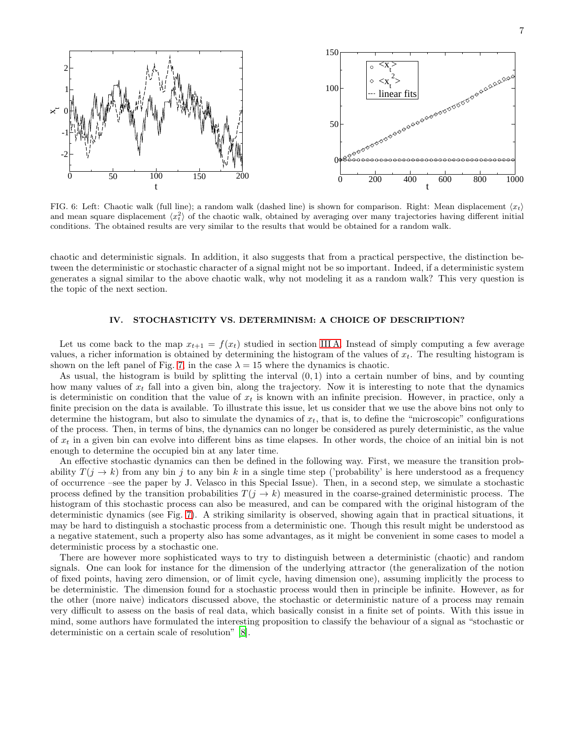

<span id="page-6-1"></span>FIG. 6: Left: Chaotic walk (full line); a random walk (dashed line) is shown for comparison. Right: Mean displacement  $\langle x_t \rangle$ and mean square displacement  $\langle x_t^2 \rangle$  of the chaotic walk, obtained by averaging over many trajectories having different initial conditions. The obtained results are very similar to the results that would be obtained for a random walk.

chaotic and deterministic signals. In addition, it also suggests that from a practical perspective, the distinction between the deterministic or stochastic character of a signal might not be so important. Indeed, if a deterministic system generates a signal similar to the above chaotic walk, why not modeling it as a random walk? This very question is the topic of the next section.

## <span id="page-6-0"></span>IV. STOCHASTICITY VS. DETERMINISM: A CHOICE OF DESCRIPTION?

Let us come back to the map  $x_{t+1} = f(x_t)$  studied in section [III A.](#page-4-4) Instead of simply computing a few average values, a richer information is obtained by determining the histogram of the values of  $x_t$ . The resulting histogram is shown on the left panel of Fig. [7,](#page-7-6) in the case  $\lambda = 15$  where the dynamics is chaotic.

As usual, the histogram is build by splitting the interval  $(0, 1)$  into a certain number of bins, and by counting how many values of  $x_t$  fall into a given bin, along the trajectory. Now it is interesting to note that the dynamics is deterministic on condition that the value of  $x_t$  is known with an infinite precision. However, in practice, only a finite precision on the data is available. To illustrate this issue, let us consider that we use the above bins not only to determine the histogram, but also to simulate the dynamics of  $x_t$ , that is, to define the "microscopic" configurations of the process. Then, in terms of bins, the dynamics can no longer be considered as purely deterministic, as the value of  $x_t$  in a given bin can evolve into different bins as time elapses. In other words, the choice of an initial bin is not enough to determine the occupied bin at any later time.

An effective stochastic dynamics can then be defined in the following way. First, we measure the transition probability  $T(j \to k)$  from any bin j to any bin k in a single time step ('probability' is here understood as a frequency of occurrence –see the paper by J. Velasco in this Special Issue). Then, in a second step, we simulate a stochastic process defined by the transition probabilities  $T(j \to k)$  measured in the coarse-grained deterministic process. The histogram of this stochastic process can also be measured, and can be compared with the original histogram of the deterministic dynamics (see Fig. [7\)](#page-7-6). A striking similarity is observed, showing again that in practical situations, it may be hard to distinguish a stochastic process from a deterministic one. Though this result might be understood as a negative statement, such a property also has some advantages, as it might be convenient in some cases to model a deterministic process by a stochastic one.

There are however more sophisticated ways to try to distinguish between a deterministic (chaotic) and random signals. One can look for instance for the dimension of the underlying attractor (the generalization of the notion of fixed points, having zero dimension, or of limit cycle, having dimension one), assuming implicitly the process to be deterministic. The dimension found for a stochastic process would then in principle be infinite. However, as for the other (more naive) indicators discussed above, the stochastic or deterministic nature of a process may remain very difficult to assess on the basis of real data, which basically consist in a finite set of points. With this issue in mind, some authors have formulated the interesting proposition to classify the behaviour of a signal as "stochastic or deterministic on a certain scale of resolution" [\[8](#page-7-7)].